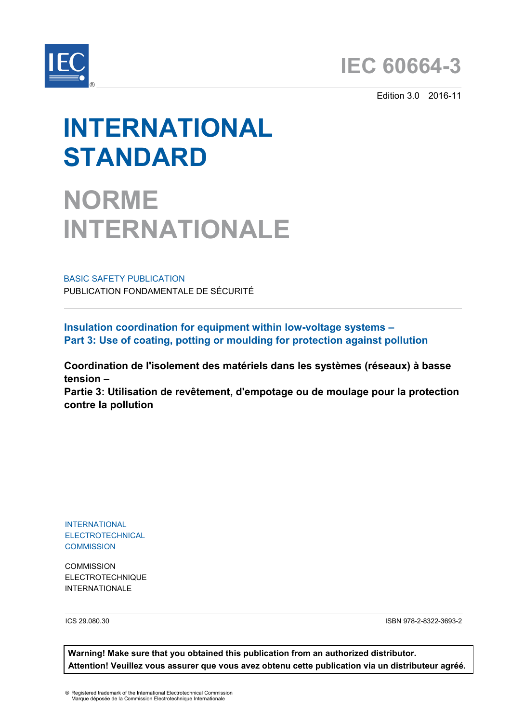

Edition 3.0 2016-11

# **INTERNATIONAL STANDARD**

# **NORME INTERNATIONALE**

# BASIC SAFETY PUBLICATION

PUBLICATION FONDAMENTALE DE SÉCURITÉ

**Insulation coordination for equipment within low-voltage systems – Part 3: Use of coating, potting or moulding for protection against pollution**

**Coordination de l'isolement des matériels dans les systèmes (réseaux) à basse tension –** 

**Partie 3: Utilisation de revêtement, d'empotage ou de moulage pour la protection contre la pollution** 

INTERNATIONAL **ELECTROTECHNICAL COMMISSION** 

**COMMISSION** ELECTROTECHNIQUE INTERNATIONALE

ICS 29.080.30 ISBN 978-2-8322-3693-2

**Warning! Make sure that you obtained this publication from an authorized distributor. Attention! Veuillez vous assurer que vous avez obtenu cette publication via un distributeur agréé.**

® Registered trademark of the International Electrotechnical Commission Marque déposée de la Commission Electrotechnique Internationale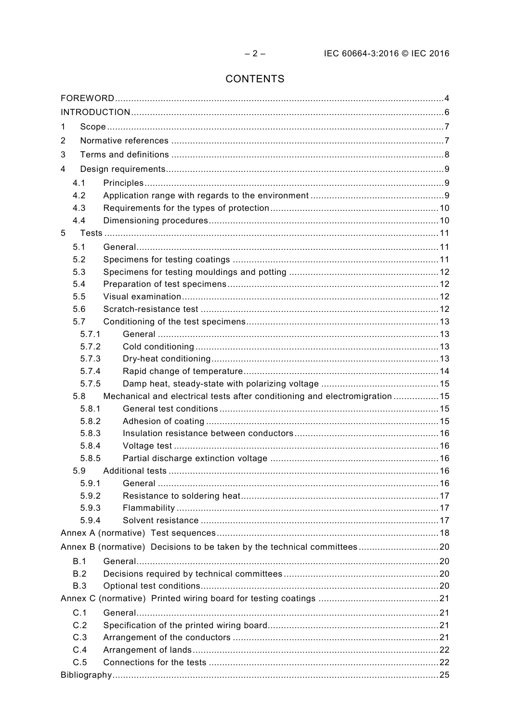# CONTENTS

| 1                                                                                 |  |  |
|-----------------------------------------------------------------------------------|--|--|
| 2                                                                                 |  |  |
| 3                                                                                 |  |  |
| 4                                                                                 |  |  |
| 4.1                                                                               |  |  |
| 4.2                                                                               |  |  |
| 4.3                                                                               |  |  |
| 4.4                                                                               |  |  |
| 5                                                                                 |  |  |
| 5.1                                                                               |  |  |
| 5.2                                                                               |  |  |
| 5.3                                                                               |  |  |
| 5.4                                                                               |  |  |
| 5.5                                                                               |  |  |
| 5.6                                                                               |  |  |
| 5.7                                                                               |  |  |
| 5.7.1                                                                             |  |  |
| 5.7.2                                                                             |  |  |
| 5.7.3                                                                             |  |  |
| 5.7.4                                                                             |  |  |
| 5.7.5                                                                             |  |  |
| Mechanical and electrical tests after conditioning and electromigration 15<br>5.8 |  |  |
| 5.8.1                                                                             |  |  |
| 5.8.2                                                                             |  |  |
| 5.8.3                                                                             |  |  |
| 5.8.4                                                                             |  |  |
| 5.8.5                                                                             |  |  |
| 5.9                                                                               |  |  |
| 5.9.1                                                                             |  |  |
| 5.9.2                                                                             |  |  |
| 5.9.3                                                                             |  |  |
| 5.9.4                                                                             |  |  |
|                                                                                   |  |  |
| Annex B (normative) Decisions to be taken by the technical committees20           |  |  |
| B.1                                                                               |  |  |
| B.2                                                                               |  |  |
| B.3                                                                               |  |  |
|                                                                                   |  |  |
| C.1                                                                               |  |  |
| C.2                                                                               |  |  |
| C.3                                                                               |  |  |
| C.4                                                                               |  |  |
| C.5                                                                               |  |  |
|                                                                                   |  |  |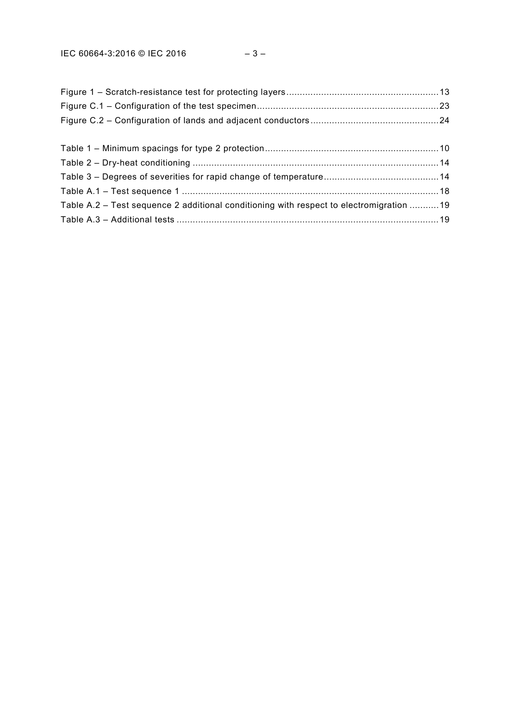| Table A.2 - Test sequence 2 additional conditioning with respect to electromigration  19 |  |
|------------------------------------------------------------------------------------------|--|
|                                                                                          |  |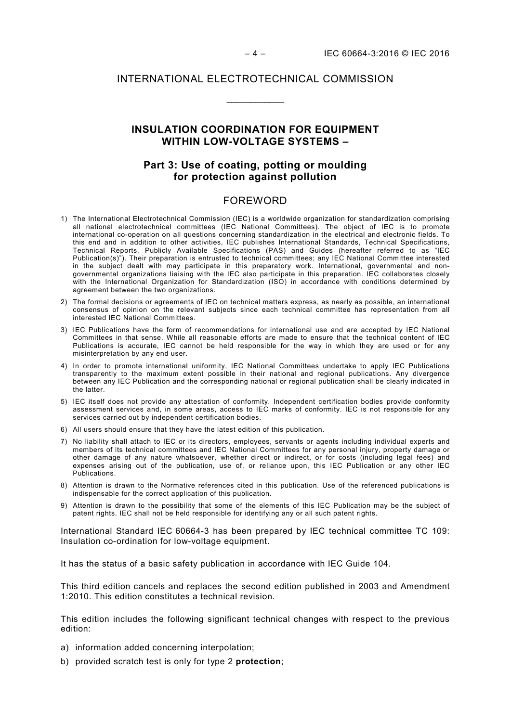#### INTERNATIONAL ELECTROTECHNICAL COMMISSION

\_\_\_\_\_\_\_\_\_\_\_\_

## **INSULATION COORDINATION FOR EQUIPMENT WITHIN LOW-VOLTAGE SYSTEMS –**

## **Part 3: Use of coating, potting or moulding for protection against pollution**

#### FOREWORD

- <span id="page-3-0"></span>1) The International Electrotechnical Commission (IEC) is a worldwide organization for standardization comprising all national electrotechnical committees (IEC National Committees). The object of IEC is to promote international co-operation on all questions concerning standardization in the electrical and electronic fields. To this end and in addition to other activities, IEC publishes International Standards, Technical Specifications, Technical Reports, Publicly Available Specifications (PAS) and Guides (hereafter referred to as "IEC Publication(s)"). Their preparation is entrusted to technical committees; any IEC National Committee interested in the subject dealt with may participate in this preparatory work. International, governmental and nongovernmental organizations liaising with the IEC also participate in this preparation. IEC collaborates closely with the International Organization for Standardization (ISO) in accordance with conditions determined by agreement between the two organizations.
- 2) The formal decisions or agreements of IEC on technical matters express, as nearly as possible, an international consensus of opinion on the relevant subjects since each technical committee has representation from all interested IEC National Committees.
- 3) IEC Publications have the form of recommendations for international use and are accepted by IEC National Committees in that sense. While all reasonable efforts are made to ensure that the technical content of IEC Publications is accurate, IEC cannot be held responsible for the way in which they are used or for any misinterpretation by any end user.
- 4) In order to promote international uniformity, IEC National Committees undertake to apply IEC Publications transparently to the maximum extent possible in their national and regional publications. Any divergence between any IEC Publication and the corresponding national or regional publication shall be clearly indicated in the latter.
- 5) IEC itself does not provide any attestation of conformity. Independent certification bodies provide conformity assessment services and, in some areas, access to IEC marks of conformity. IEC is not responsible for any services carried out by independent certification bodies.
- 6) All users should ensure that they have the latest edition of this publication.
- 7) No liability shall attach to IEC or its directors, employees, servants or agents including individual experts and members of its technical committees and IEC National Committees for any personal injury, property damage or other damage of any nature whatsoever, whether direct or indirect, or for costs (including legal fees) and expenses arising out of the publication, use of, or reliance upon, this IEC Publication or any other IEC Publications.
- 8) Attention is drawn to the Normative references cited in this publication. Use of the referenced publications is indispensable for the correct application of this publication.
- 9) Attention is drawn to the possibility that some of the elements of this IEC Publication may be the subject of patent rights. IEC shall not be held responsible for identifying any or all such patent rights.

International Standard IEC 60664-3 has been prepared by IEC technical committee TC 109: Insulation co-ordination for low-voltage equipment.

It has the status of a basic safety publication in accordance with IEC Guide 104.

This third edition cancels and replaces the second edition published in 2003 and Amendment 1:2010. This edition constitutes a technical revision.

This edition includes the following significant technical changes with respect to the previous edition:

- a) information added concerning interpolation;
- b) provided scratch test is only for type 2 **protection**;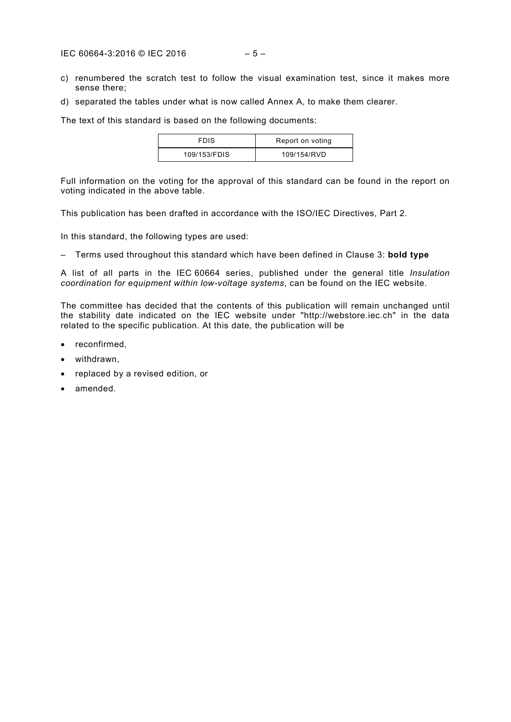- c) renumbered the scratch test to follow the visual examination test, since it makes more sense there;
- d) separated the tables under what is now called Annex A, to make them clearer.

The text of this standard is based on the following documents:

| <b>FDIS</b>  | Report on voting |
|--------------|------------------|
| 109/153/FDIS | 109/154/RVD      |

Full information on the voting for the approval of this standard can be found in the report on voting indicated in the above table.

This publication has been drafted in accordance with the ISO/IEC Directives, Part 2.

In this standard, the following types are used:

– Terms used throughout this standard which have been defined in Clause 3: **bold type**

A list of all parts in the IEC 60664 series, published under the general title *Insulation coordination for equipment within low-voltage systems*, can be found on the IEC website.

The committee has decided that the contents of this publication will remain unchanged until the stability date indicated on the IEC website under "http://webstore.iec.ch" in the data related to the specific publication. At this date, the publication will be

- reconfirmed,
- withdrawn,
- replaced by a revised edition, or
- amended.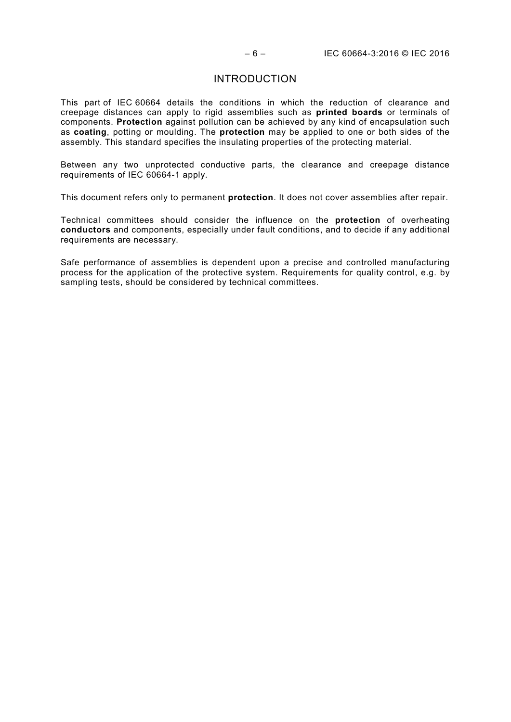#### INTRODUCTION

<span id="page-5-0"></span>This part of IEC 60664 details the conditions in which the reduction of clearance and creepage distances can apply to rigid assemblies such as **printed boards** or terminals of components. **Protection** against pollution can be achieved by any kind of encapsulation such as **coating**, potting or moulding. The **protection** may be applied to one or both sides of the assembly. This standard specifies the insulating properties of the protecting material.

Between any two unprotected conductive parts, the clearance and creepage distance requirements of IEC 60664-1 apply.

This document refers only to permanent **protection**. It does not cover assemblies after repair.

Technical committees should consider the influence on the **protection** of overheating **conductors** and components, especially under fault conditions, and to decide if any additional requirements are necessary.

Safe performance of assemblies is dependent upon a precise and controlled manufacturing process for the application of the protective system. Requirements for quality control, e.g. by sampling tests, should be considered by technical committees.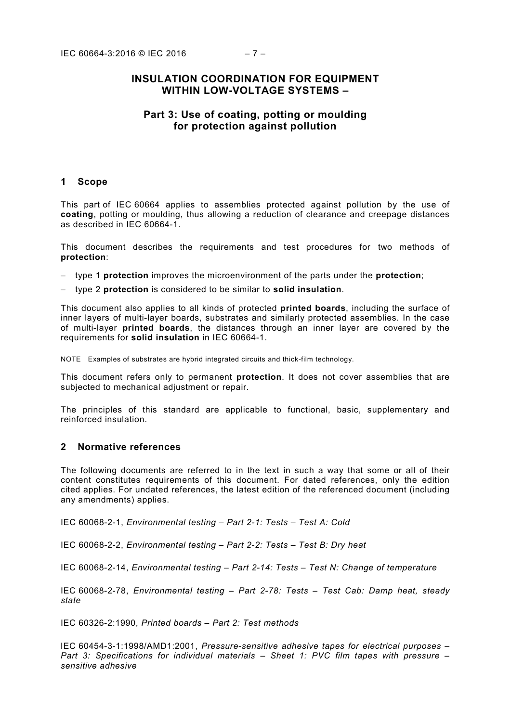## **INSULATION COORDINATION FOR EQUIPMENT WITHIN LOW-VOLTAGE SYSTEMS –**

## **Part 3: Use of coating, potting or moulding for protection against pollution**

#### <span id="page-6-0"></span>**1 Scope**

This part of IEC 60664 applies to assemblies protected against pollution by the use of **coating**, potting or moulding, thus allowing a reduction of clearance and creepage distances as described in IEC 60664-1.

This document describes the requirements and test procedures for two methods of **protection**:

- type 1 **protection** improves the microenvironment of the parts under the **protection**;
- type 2 **protection** is considered to be similar to **solid insulation**.

This document also applies to all kinds of protected **printed boards**, including the surface of inner layers of multi-layer boards, substrates and similarly protected assemblies. In the case of multi-layer **printed boards**, the distances through an inner layer are covered by the requirements for **solid insulation** in IEC 60664-1.

NOTE Examples of substrates are hybrid integrated circuits and thick-film technology.

This document refers only to permanent **protection**. It does not cover assemblies that are subjected to mechanical adjustment or repair.

The principles of this standard are applicable to functional, basic, supplementary and reinforced insulation.

## <span id="page-6-1"></span>**2 Normative references**

The following documents are referred to in the text in such a way that some or all of their content constitutes requirements of this document. For dated references, only the edition cited applies. For undated references, the latest edition of the referenced document (including any amendments) applies.

IEC 60068-2-1, *Environmental testing – Part 2-1: Tests – Test A: Cold*

IEC 60068-2-2, *Environmental testing – Part 2-2: Tests – Test B: Dry heat*

IEC 60068-2-14, *Environmental testing – Part 2-14: Tests – Test N: Change of temperature*

IEC 60068-2-78, *Environmental testing – Part 2-78: Tests – Test Cab: Damp heat, steady state*

IEC 60326-2:1990, *Printed boards – Part 2: Test methods*

IEC 60454-3-1:1998/AMD1:2001, *Pressure-sensitive adhesive tapes for electrical purposes – Part 3: Specifications for individual materials – Sheet 1: PVC film tapes with pressure – sensitive adhesive*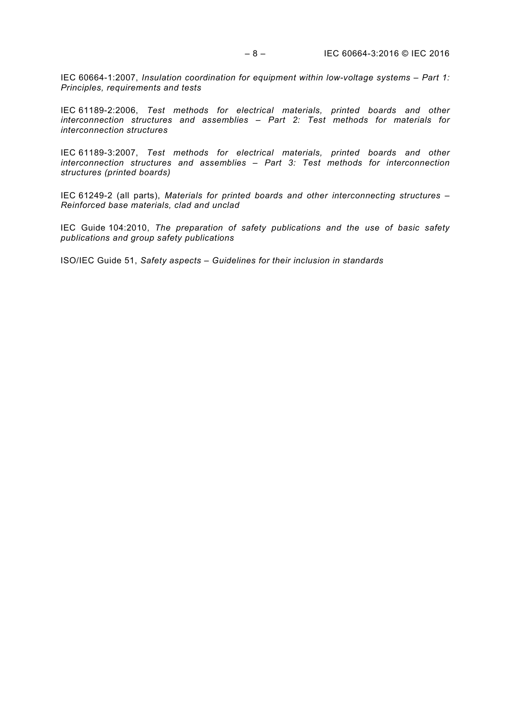IEC 60664-1:2007, *Insulation coordination for equipment within low-voltage systems – Part 1: Principles, requirements and tests*

IEC 61189-2:2006, *Test methods for electrical materials, printed boards and other interconnection structures and assemblies – Part 2: Test methods for materials for interconnection structures*

IEC 61189-3:2007, *Test methods for electrical materials, printed boards and other interconnection structures and assemblies – Part 3: Test methods for interconnection structures (printed boards)* 

IEC 61249-2 (all parts), *Materials for printed boards and other interconnecting structures – Reinforced base materials, clad and unclad*

IEC Guide 104:2010, *The preparation of safety publications and the use of basic safety publications and group safety publications*

<span id="page-7-0"></span>ISO/IEC Guide 51, *Safety aspects – Guidelines for their inclusion in standards*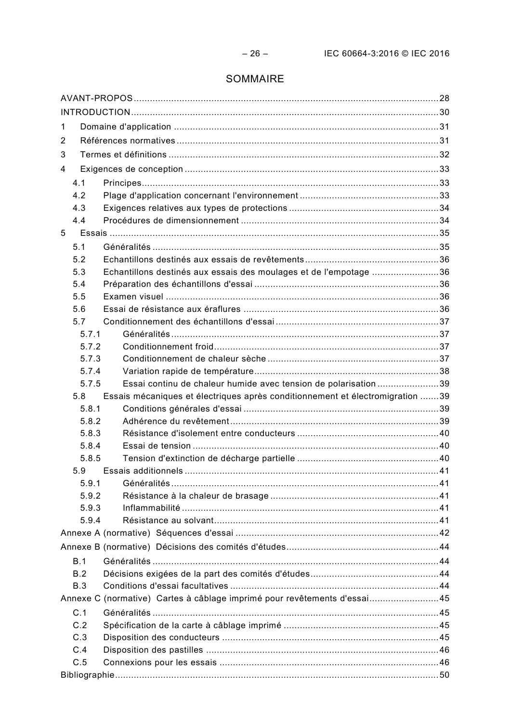# SOMMAIRE

| 1<br>2<br>3<br>4<br>4.1<br>4.2<br>4.3<br>4.4<br>5<br>5.1<br>5.2<br>Echantillons destinés aux essais des moulages et de l'empotage 36<br>5.3<br>5.4<br>5.5<br>5.6<br>5.7<br>5.7.1<br>5.7.2<br>5.7.3<br>5.7.4<br>Essai continu de chaleur humide avec tension de polarisation 39<br>5.7.5<br>Essais mécaniques et électriques après conditionnement et électromigration 39<br>5.8<br>5.8.1<br>5.8.2<br>5.8.3<br>5.8.4<br>5.8.5<br>5.9<br>5.9.1<br>5.9.2<br>5.9.3<br>5.9.4<br>B.1<br>B.2<br><b>B.3</b><br>Annexe C (normative) Cartes à câblage imprimé pour revêtements d'essai45<br>C.1<br>C.2<br>C.3<br>C.4<br>C.5 |  |  |  |  |
|--------------------------------------------------------------------------------------------------------------------------------------------------------------------------------------------------------------------------------------------------------------------------------------------------------------------------------------------------------------------------------------------------------------------------------------------------------------------------------------------------------------------------------------------------------------------------------------------------------------------|--|--|--|--|
|                                                                                                                                                                                                                                                                                                                                                                                                                                                                                                                                                                                                                    |  |  |  |  |
|                                                                                                                                                                                                                                                                                                                                                                                                                                                                                                                                                                                                                    |  |  |  |  |
|                                                                                                                                                                                                                                                                                                                                                                                                                                                                                                                                                                                                                    |  |  |  |  |
|                                                                                                                                                                                                                                                                                                                                                                                                                                                                                                                                                                                                                    |  |  |  |  |
|                                                                                                                                                                                                                                                                                                                                                                                                                                                                                                                                                                                                                    |  |  |  |  |
|                                                                                                                                                                                                                                                                                                                                                                                                                                                                                                                                                                                                                    |  |  |  |  |
|                                                                                                                                                                                                                                                                                                                                                                                                                                                                                                                                                                                                                    |  |  |  |  |
|                                                                                                                                                                                                                                                                                                                                                                                                                                                                                                                                                                                                                    |  |  |  |  |
|                                                                                                                                                                                                                                                                                                                                                                                                                                                                                                                                                                                                                    |  |  |  |  |
|                                                                                                                                                                                                                                                                                                                                                                                                                                                                                                                                                                                                                    |  |  |  |  |
|                                                                                                                                                                                                                                                                                                                                                                                                                                                                                                                                                                                                                    |  |  |  |  |
|                                                                                                                                                                                                                                                                                                                                                                                                                                                                                                                                                                                                                    |  |  |  |  |
|                                                                                                                                                                                                                                                                                                                                                                                                                                                                                                                                                                                                                    |  |  |  |  |
|                                                                                                                                                                                                                                                                                                                                                                                                                                                                                                                                                                                                                    |  |  |  |  |
|                                                                                                                                                                                                                                                                                                                                                                                                                                                                                                                                                                                                                    |  |  |  |  |
|                                                                                                                                                                                                                                                                                                                                                                                                                                                                                                                                                                                                                    |  |  |  |  |
|                                                                                                                                                                                                                                                                                                                                                                                                                                                                                                                                                                                                                    |  |  |  |  |
|                                                                                                                                                                                                                                                                                                                                                                                                                                                                                                                                                                                                                    |  |  |  |  |
|                                                                                                                                                                                                                                                                                                                                                                                                                                                                                                                                                                                                                    |  |  |  |  |
|                                                                                                                                                                                                                                                                                                                                                                                                                                                                                                                                                                                                                    |  |  |  |  |
|                                                                                                                                                                                                                                                                                                                                                                                                                                                                                                                                                                                                                    |  |  |  |  |
|                                                                                                                                                                                                                                                                                                                                                                                                                                                                                                                                                                                                                    |  |  |  |  |
|                                                                                                                                                                                                                                                                                                                                                                                                                                                                                                                                                                                                                    |  |  |  |  |
|                                                                                                                                                                                                                                                                                                                                                                                                                                                                                                                                                                                                                    |  |  |  |  |
|                                                                                                                                                                                                                                                                                                                                                                                                                                                                                                                                                                                                                    |  |  |  |  |
|                                                                                                                                                                                                                                                                                                                                                                                                                                                                                                                                                                                                                    |  |  |  |  |
|                                                                                                                                                                                                                                                                                                                                                                                                                                                                                                                                                                                                                    |  |  |  |  |
|                                                                                                                                                                                                                                                                                                                                                                                                                                                                                                                                                                                                                    |  |  |  |  |
|                                                                                                                                                                                                                                                                                                                                                                                                                                                                                                                                                                                                                    |  |  |  |  |
|                                                                                                                                                                                                                                                                                                                                                                                                                                                                                                                                                                                                                    |  |  |  |  |
|                                                                                                                                                                                                                                                                                                                                                                                                                                                                                                                                                                                                                    |  |  |  |  |
|                                                                                                                                                                                                                                                                                                                                                                                                                                                                                                                                                                                                                    |  |  |  |  |
|                                                                                                                                                                                                                                                                                                                                                                                                                                                                                                                                                                                                                    |  |  |  |  |
|                                                                                                                                                                                                                                                                                                                                                                                                                                                                                                                                                                                                                    |  |  |  |  |
|                                                                                                                                                                                                                                                                                                                                                                                                                                                                                                                                                                                                                    |  |  |  |  |
|                                                                                                                                                                                                                                                                                                                                                                                                                                                                                                                                                                                                                    |  |  |  |  |
|                                                                                                                                                                                                                                                                                                                                                                                                                                                                                                                                                                                                                    |  |  |  |  |
|                                                                                                                                                                                                                                                                                                                                                                                                                                                                                                                                                                                                                    |  |  |  |  |
|                                                                                                                                                                                                                                                                                                                                                                                                                                                                                                                                                                                                                    |  |  |  |  |
|                                                                                                                                                                                                                                                                                                                                                                                                                                                                                                                                                                                                                    |  |  |  |  |
|                                                                                                                                                                                                                                                                                                                                                                                                                                                                                                                                                                                                                    |  |  |  |  |
|                                                                                                                                                                                                                                                                                                                                                                                                                                                                                                                                                                                                                    |  |  |  |  |
|                                                                                                                                                                                                                                                                                                                                                                                                                                                                                                                                                                                                                    |  |  |  |  |
|                                                                                                                                                                                                                                                                                                                                                                                                                                                                                                                                                                                                                    |  |  |  |  |
|                                                                                                                                                                                                                                                                                                                                                                                                                                                                                                                                                                                                                    |  |  |  |  |
|                                                                                                                                                                                                                                                                                                                                                                                                                                                                                                                                                                                                                    |  |  |  |  |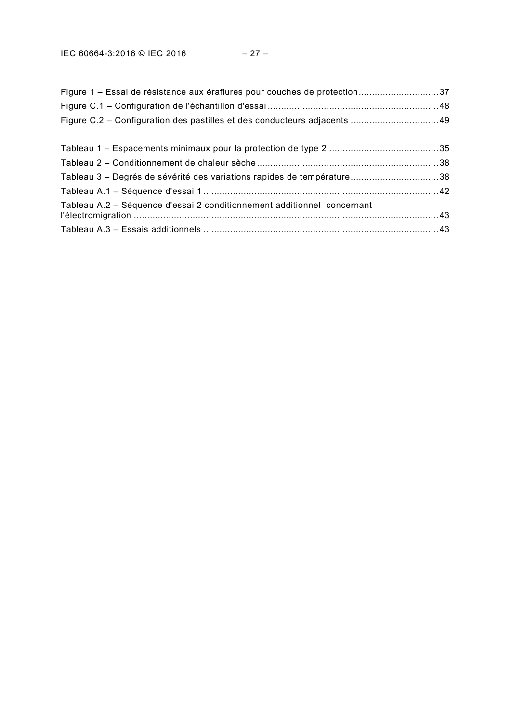| Figure 1 - Essai de résistance aux éraflures pour couches de protection37 |  |
|---------------------------------------------------------------------------|--|
|                                                                           |  |
| Figure C.2 – Configuration des pastilles et des conducteurs adjacents 49  |  |
|                                                                           |  |
|                                                                           |  |
| Tableau 3 – Degrés de sévérité des variations rapides de température38    |  |
|                                                                           |  |
| Tableau A.2 – Séquence d'essai 2 conditionnement additionnel concernant   |  |
|                                                                           |  |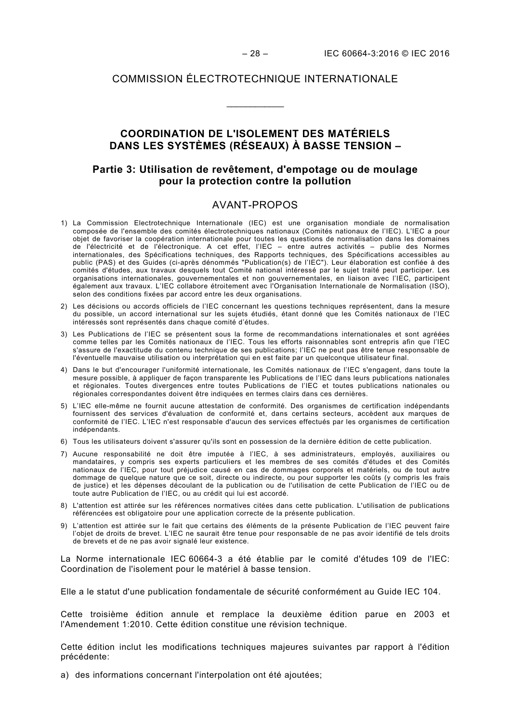# COMMISSION ÉLECTROTECHNIQUE INTERNATIONALE

\_\_\_\_\_\_\_\_\_\_\_\_

# **COORDINATION DE L'ISOLEMENT DES MATÉRIELS DANS LES SYSTÈMES (RÉSEAUX) À BASSE TENSION –**

## **Partie 3: Utilisation de revêtement, d'empotage ou de moulage pour la protection contre la pollution**

## AVANT-PROPOS

- <span id="page-10-0"></span>1) La Commission Electrotechnique Internationale (IEC) est une organisation mondiale de normalisation composée de l'ensemble des comités électrotechniques nationaux (Comités nationaux de l'IEC). L'IEC a pour objet de favoriser la coopération internationale pour toutes les questions de normalisation dans les domaines de l'électricité et de l'électronique. A cet effet, l'IEC – entre autres activités – publie des Normes internationales, des Spécifications techniques, des Rapports techniques, des Spécifications accessibles au public (PAS) et des Guides (ci-après dénommés "Publication(s) de l'IEC"). Leur élaboration est confiée à des comités d'études, aux travaux desquels tout Comité national intéressé par le sujet traité peut participer. Les organisations internationales, gouvernementales et non gouvernementales, en liaison avec l'IEC, participent également aux travaux. L'IEC collabore étroitement avec l'Organisation Internationale de Normalisation (ISO), selon des conditions fixées par accord entre les deux organisations.
- 2) Les décisions ou accords officiels de l'IEC concernant les questions techniques représentent, dans la mesure du possible, un accord international sur les sujets étudiés, étant donné que les Comités nationaux de l'IEC intéressés sont représentés dans chaque comité d'études.
- 3) Les Publications de l'IEC se présentent sous la forme de recommandations internationales et sont agréées comme telles par les Comités nationaux de l'IEC. Tous les efforts raisonnables sont entrepris afin que l'IEC s'assure de l'exactitude du contenu technique de ses publications; l'IEC ne peut pas être tenue responsable de l'éventuelle mauvaise utilisation ou interprétation qui en est faite par un quelconque utilisateur final.
- 4) Dans le but d'encourager l'uniformité internationale, les Comités nationaux de l'IEC s'engagent, dans toute la mesure possible, à appliquer de façon transparente les Publications de l'IEC dans leurs publications nationales et régionales. Toutes divergences entre toutes Publications de l'IEC et toutes publications nationales ou régionales correspondantes doivent être indiquées en termes clairs dans ces dernières.
- 5) L'IEC elle-même ne fournit aucune attestation de conformité. Des organismes de certification indépendants fournissent des services d'évaluation de conformité et, dans certains secteurs, accèdent aux marques de conformité de l'IEC. L'IEC n'est responsable d'aucun des services effectués par les organismes de certification indépendants.
- 6) Tous les utilisateurs doivent s'assurer qu'ils sont en possession de la dernière édition de cette publication.
- 7) Aucune responsabilité ne doit être imputée à l'IEC, à ses administrateurs, employés, auxiliaires ou mandataires, y compris ses experts particuliers et les membres de ses comités d'études et des Comités nationaux de l'IEC, pour tout préjudice causé en cas de dommages corporels et matériels, ou de tout autre dommage de quelque nature que ce soit, directe ou indirecte, ou pour supporter les coûts (y compris les frais de justice) et les dépenses découlant de la publication ou de l'utilisation de cette Publication de l'IEC ou de toute autre Publication de l'IEC, ou au crédit qui lui est accordé.
- 8) L'attention est attirée sur les références normatives citées dans cette publication. L'utilisation de publications référencées est obligatoire pour une application correcte de la présente publication.
- 9) L'attention est attirée sur le fait que certains des éléments de la présente Publication de l'IEC peuvent faire l'objet de droits de brevet. L'IEC ne saurait être tenue pour responsable de ne pas avoir identifié de tels droits de brevets et de ne pas avoir signalé leur existence.

La Norme internationale IEC 60664-3 a été établie par le comité d'études 109 de l'IEC: Coordination de l'isolement pour le matériel à basse tension.

Elle a le statut d'une publication fondamentale de sécurité conformément au Guide IEC 104.

Cette troisième édition annule et remplace la deuxième édition parue en 2003 et l'Amendement 1:2010. Cette édition constitue une révision technique.

Cette édition inclut les modifications techniques majeures suivantes par rapport à l'édition précédente:

a) des informations concernant l'interpolation ont été ajoutées;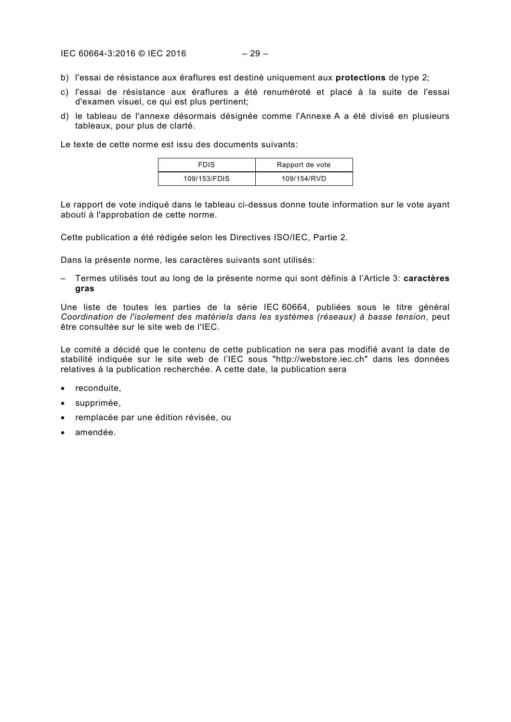- b) l'essai de résistance aux éraflures est destiné uniquement aux **protections** de type 2;
- c) l'essai de résistance aux éraflures a été renuméroté et placé à la suite de l'essai d'examen visuel, ce qui est plus pertinent;
- d) le tableau de l'annexe désormais désignée comme l'Annexe A a été divisé en plusieurs tableaux, pour plus de clarté.

Le texte de cette norme est issu des documents suivants:

| FDIS         | Rapport de vote |
|--------------|-----------------|
| 109/153/FDIS | 109/154/RVD     |

Le rapport de vote indiqué dans le tableau ci-dessus donne toute information sur le vote ayant abouti à l'approbation de cette norme.

Cette publication a été rédigée selon les Directives ISO/IEC, Partie 2.

Dans la présente norme, les caractères suivants sont utilisés:

– Termes utilisés tout au long de la présente norme qui sont définis à l'Article 3: **caractères gras**

Une liste de toutes les parties de la série IEC 60664, publiées sous le titre général *Coordination de l'isolement des matériels dans les systèmes (réseaux) à basse tension*, peut être consultée sur le site web de l'IEC.

Le comité a décidé que le contenu de cette publication ne sera pas modifié avant la date de stabilité indiquée sur le site web de l'IEC sous "http://webstore.iec.ch" dans les données relatives à la publication recherchée. A cette date, la publication sera

- reconduite,
- supprimée,
- remplacée par une édition révisée, ou
- amendée.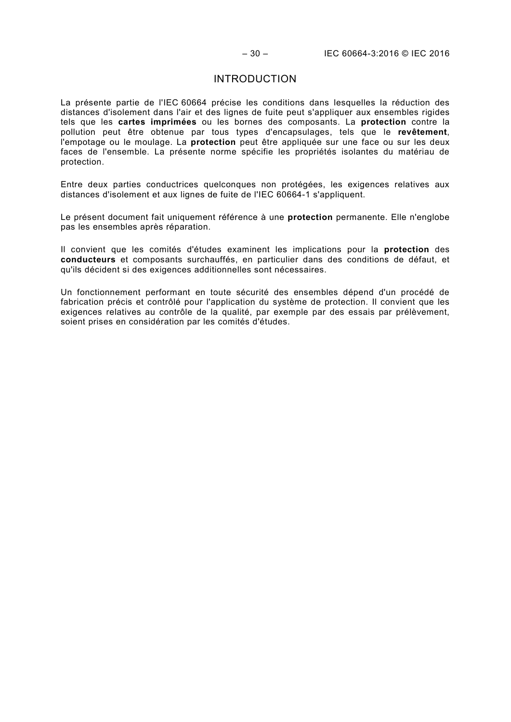#### INTRODUCTION

<span id="page-12-0"></span>La présente partie de l'IEC 60664 précise les conditions dans lesquelles la réduction des distances d'isolement dans l'air et des lignes de fuite peut s'appliquer aux ensembles rigides tels que les **cartes imprimées** ou les bornes des composants. La **protection** contre la pollution peut être obtenue par tous types d'encapsulages, tels que le **revêtement**, l'empotage ou le moulage. La **protection** peut être appliquée sur une face ou sur les deux faces de l'ensemble. La présente norme spécifie les propriétés isolantes du matériau de protection.

Entre deux parties conductrices quelconques non protégées, les exigences relatives aux distances d'isolement et aux lignes de fuite de l'IEC 60664-1 s'appliquent.

Le présent document fait uniquement référence à une **protection** permanente. Elle n'englobe pas les ensembles après réparation.

Il convient que les comités d'études examinent les implications pour la **protection** des **conducteurs** et composants surchauffés, en particulier dans des conditions de défaut, et qu'ils décident si des exigences additionnelles sont nécessaires.

Un fonctionnement performant en toute sécurité des ensembles dépend d'un procédé de fabrication précis et contrôlé pour l'application du système de protection. Il convient que les exigences relatives au contrôle de la qualité, par exemple par des essais par prélèvement, soient prises en considération par les comités d'études.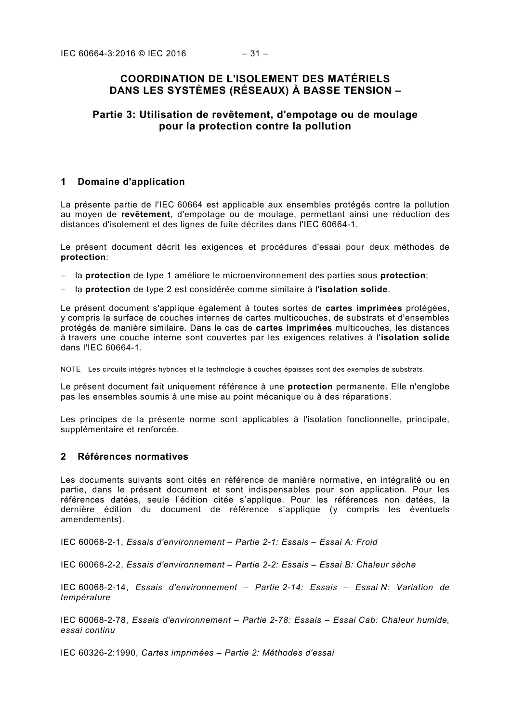# **COORDINATION DE L'ISOLEMENT DES MATÉRIELS DANS LES SYSTÈMES (RÉSEAUX) À BASSE TENSION –**

## **Partie 3: Utilisation de revêtement, d'empotage ou de moulage pour la protection contre la pollution**

#### <span id="page-13-0"></span>**1 Domaine d'application**

La présente partie de l'IEC 60664 est applicable aux ensembles protégés contre la pollution au moyen de **revêtement**, d'empotage ou de moulage, permettant ainsi une réduction des distances d'isolement et des lignes de fuite décrites dans l'IEC 60664-1.

Le présent document décrit les exigences et procédures d'essai pour deux méthodes de **protection**:

- la **protection** de type 1 améliore le microenvironnement des parties sous **protection**;
- la **protection** de type 2 est considérée comme similaire à l'**isolation solide**.

Le présent document s'applique également à toutes sortes de **cartes imprimées** protégées, y compris la surface de couches internes de cartes multicouches, de substrats et d'ensembles protégés de manière similaire. Dans le cas de **cartes imprimées** multicouches, les distances à travers une couche interne sont couvertes par les exigences relatives à l'**isolation solide** dans l'IEC 60664-1.

NOTE Les circuits intégrés hybrides et la technologie à couches épaisses sont des exemples de substrats.

Le présent document fait uniquement référence à une **protection** permanente. Elle n'englobe pas les ensembles soumis à une mise au point mécanique ou à des réparations.

Les principes de la présente norme sont applicables à l'isolation fonctionnelle, principale, supplémentaire et renforcée.

#### <span id="page-13-1"></span>**2 Références normatives**

Les documents suivants sont cités en référence de manière normative, en intégralité ou en partie, dans le présent document et sont indispensables pour son application. Pour les références datées, seule l'édition citée s'applique. Pour les références non datées, la dernière édition du document de référence s'applique (y compris les éventuels amendements).

IEC 60068-2-1, *Essais d'environnement – Partie 2-1: Essais – Essai A: Froid*

IEC 60068-2-2, *Essais d'environnement – Partie 2-2: Essais – Essai B: Chaleur sèche*

IEC 60068-2-14, *Essais d'environnement – Partie 2-14: Essais – Essai N: Variation de température*

IEC 60068-2-78, *Essais d'environnement – Partie 2-78: Essais – Essai Cab: Chaleur humide, essai continu*

IEC 60326-2:1990, *Cartes imprimées – Partie 2: Méthodes d'essai*